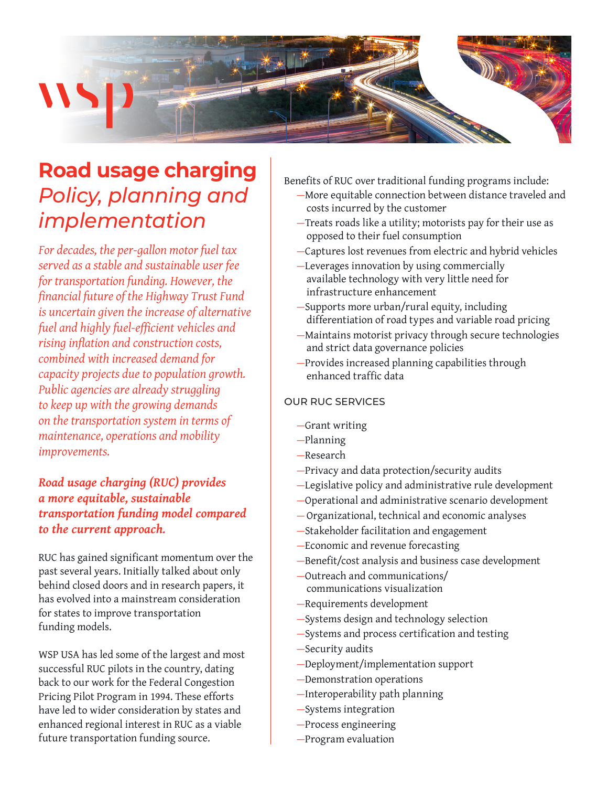

## **Road usage charging**  *Policy, planning and implementation*

*For decades, the per-gallon motor fuel tax served as a stable and sustainable user fee for transportation funding. However, the financial future of the Highway Trust Fund is uncertain given the increase of alternative fuel and highly fuel-efficient vehicles and rising inflation and construction costs, combined with increased demand for capacity projects due to population growth. Public agencies are already struggling to keep up with the growing demands on the transportation system in terms of maintenance, operations and mobility improvements.* 

*Road usage charging (RUC) provides a more equitable, sustainable transportation funding model compared to the current approach.*

RUC has gained significant momentum over the past several years. Initially talked about only behind closed doors and in research papers, it has evolved into a mainstream consideration for states to improve transportation funding models.

WSP USA has led some of the largest and most successful RUC pilots in the country, dating back to our work for the Federal Congestion Pricing Pilot Program in 1994. These efforts have led to wider consideration by states and enhanced regional interest in RUC as a viable future transportation funding source.

- Benefits of RUC over traditional funding programs include: —More equitable connection between distance traveled and costs incurred by the customer
	- —Treats roads like a utility; motorists pay for their use as opposed to their fuel consumption
	- —Captures lost revenues from electric and hybrid vehicles
	- —Leverages innovation by using commercially available technology with very little need for infrastructure enhancement
	- —Supports more urban/rural equity, including differentiation of road types and variable road pricing
	- —Maintains motorist privacy through secure technologies and strict data governance policies
	- —Provides increased planning capabilities through enhanced traffic data

### OUR RUC SERVICES

- —Grant writing
- —Planning
- —Research
- —Privacy and data protection/security audits
- —Legislative policy and administrative rule development
- —Operational and administrative scenario development
- —Organizational, technical and economic analyses
- —Stakeholder facilitation and engagement
- —Economic and revenue forecasting
- —Benefit/cost analysis and business case development
- —Outreach and communications/ communications visualization
- —Requirements development
- —Systems design and technology selection
- —Systems and process certification and testing
- —Security audits
- —Deployment/implementation support
- —Demonstration operations
- —Interoperability path planning
- —Systems integration
- —Process engineering
- —Program evaluation